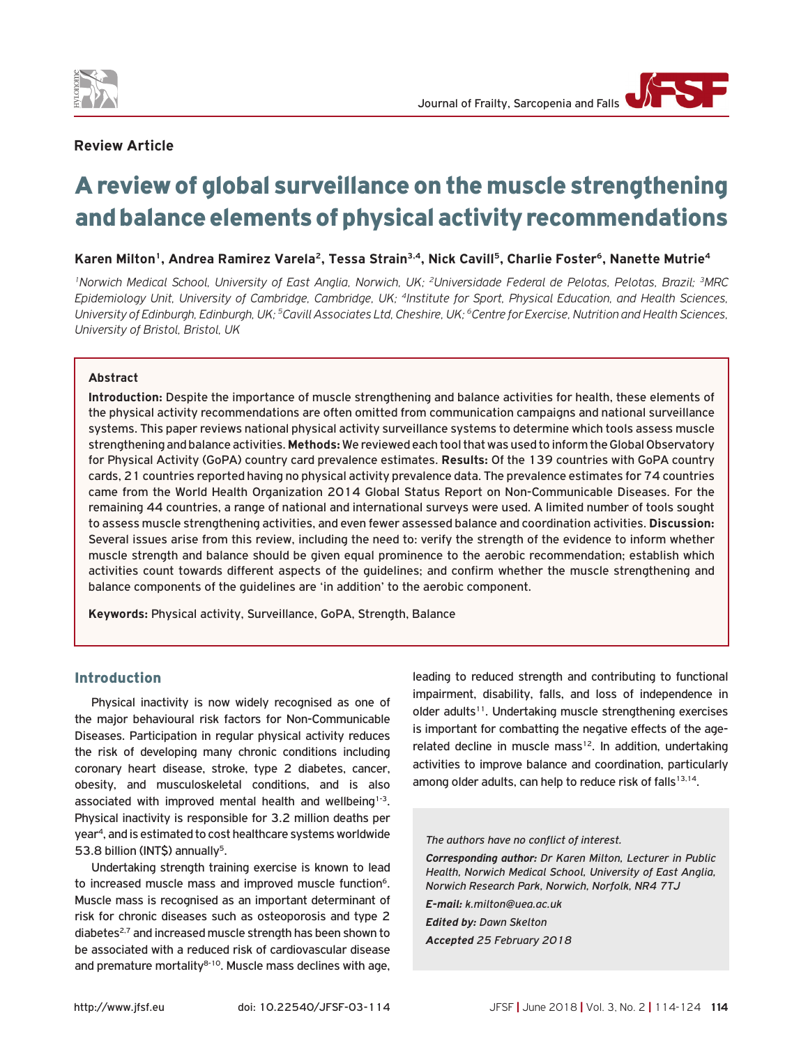

## **Review Article**

# A review of global surveillance on the muscle strengthening and balance elements of physical activity recommendations

# Karen Milton<sup>1</sup>, Andrea Ramirez Varela<sup>2</sup>, Tessa Strain<sup>3,4</sup>, Nick Cavill<sup>5</sup>, Charlie Foster<sup>6</sup>, Nanette Mutrie<sup>4</sup>

*1Norwich Medical School, University of East Anglia, Norwich, UK; 2Universidade Federal de Pelotas, Pelotas, Brazil; 3MRC Epidemiology Unit, University of Cambridge, Cambridge, UK; 4Institute for Sport, Physical Education, and Health Sciences, University of Edinburgh, Edinburgh, UK; 5Cavill Associates Ltd, Cheshire, UK; 6Centre for Exercise, Nutrition and Health Sciences, University of Bristol, Bristol, UK*

## **Abstract**

**Introduction:** Despite the importance of muscle strengthening and balance activities for health, these elements of the physical activity recommendations are often omitted from communication campaigns and national surveillance systems. This paper reviews national physical activity surveillance systems to determine which tools assess muscle strengthening and balance activities. **Methods:** We reviewed each tool that was used to inform the Global Observatory for Physical Activity (GoPA) country card prevalence estimates. **Results:** Of the 139 countries with GoPA country cards, 21 countries reported having no physical activity prevalence data. The prevalence estimates for 74 countries came from the World Health Organization 2014 Global Status Report on Non-Communicable Diseases. For the remaining 44 countries, a range of national and international surveys were used. A limited number of tools sought to assess muscle strengthening activities, and even fewer assessed balance and coordination activities. **Discussion:** Several issues arise from this review, including the need to: verify the strength of the evidence to inform whether muscle strength and balance should be given equal prominence to the aerobic recommendation; establish which activities count towards different aspects of the guidelines; and confirm whether the muscle strengthening and balance components of the guidelines are 'in addition' to the aerobic component.

**Keywords:** Physical activity, Surveillance, GoPA, Strength, Balance

## Introduction

Physical inactivity is now widely recognised as one of the major behavioural risk factors for Non-Communicable Diseases. Participation in regular physical activity reduces the risk of developing many chronic conditions including coronary heart disease, stroke, type 2 diabetes, cancer, obesity, and musculoskeletal conditions, and is also associated with improved mental health and wellbeing<sup>1-3</sup>. Physical inactivity is responsible for 3.2 million deaths per year4, and is estimated to cost healthcare systems worldwide 53.8 billion (INT\$) annually<sup>5</sup>.

Undertaking strength training exercise is known to lead to increased muscle mass and improved muscle function<sup>6</sup>. Muscle mass is recognised as an important determinant of risk for chronic diseases such as osteoporosis and type 2 diabetes<sup>2,7</sup> and increased muscle strength has been shown to be associated with a reduced risk of cardiovascular disease and premature mortality $8-10$ . Muscle mass declines with age, leading to reduced strength and contributing to functional impairment, disability, falls, and loss of independence in older adults<sup>11</sup>. Undertaking muscle strengthening exercises is important for combatting the negative effects of the agerelated decline in muscle mass $12$ . In addition, undertaking activities to improve balance and coordination, particularly among older adults, can help to reduce risk of falls $13,14$ .

*The authors have no conflict of interest.*

*Corresponding author: Dr Karen Milton, Lecturer in Public Health, Norwich Medical School, University of East Anglia, Norwich Research Park, Norwich, Norfolk, NR4 7TJ*

*E-mail: k.milton@uea.ac.uk Edited by: Dawn Skelton*

*Accepted 25 February 2018*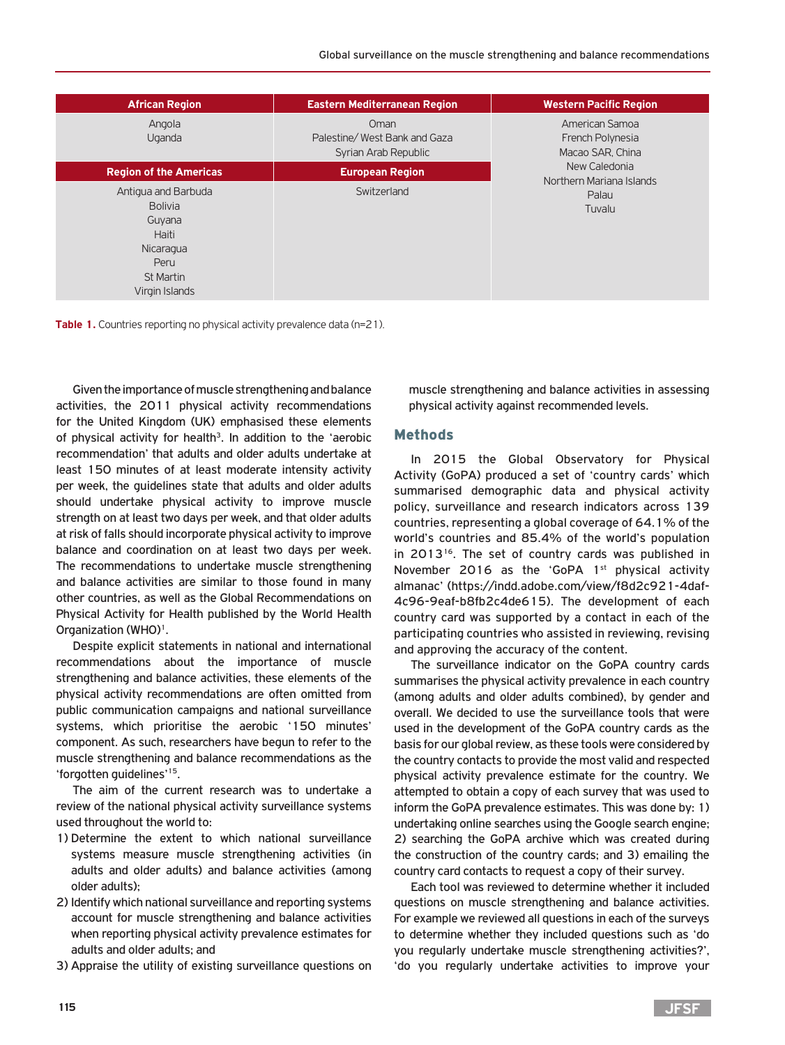| <b>African Region</b>                                                                                        | <b>Eastern Mediterranean Region</b>                          | <b>Western Pacific Region</b>                          |
|--------------------------------------------------------------------------------------------------------------|--------------------------------------------------------------|--------------------------------------------------------|
| Angola<br>Uganda                                                                                             | Oman<br>Palestine/West Bank and Gaza<br>Syrian Arab Republic | American Samoa<br>French Polynesia<br>Macao SAR, China |
| <b>Region of the Americas</b>                                                                                | <b>European Region</b>                                       | New Caledonia<br>Northern Mariana Islands              |
| Antigua and Barbuda<br><b>Bolivia</b><br>Guyana<br>Haiti<br>Nicaragua<br>Peru<br>St Martin<br>Virgin Islands | Switzerland                                                  | Palau<br>Tuvalu                                        |

**Table 1.** Countries reporting no physical activity prevalence data (n=21).

Given the importance of muscle strengthening and balance activities, the 2011 physical activity recommendations for the United Kingdom (UK) emphasised these elements of physical activity for health<sup>3</sup>. In addition to the 'aerobic recommendation' that adults and older adults undertake at least 150 minutes of at least moderate intensity activity per week, the guidelines state that adults and older adults should undertake physical activity to improve muscle strength on at least two days per week, and that older adults at risk of falls should incorporate physical activity to improve balance and coordination on at least two days per week. The recommendations to undertake muscle strengthening and balance activities are similar to those found in many other countries, as well as the Global Recommendations on Physical Activity for Health published by the World Health Organization (WHO)<sup>1</sup>.

Despite explicit statements in national and international recommendations about the importance of muscle strengthening and balance activities, these elements of the physical activity recommendations are often omitted from public communication campaigns and national surveillance systems, which prioritise the aerobic '150 minutes' component. As such, researchers have begun to refer to the muscle strengthening and balance recommendations as the 'forgotten guidelines'15.

The aim of the current research was to undertake a review of the national physical activity surveillance systems used throughout the world to:

- 1) Determine the extent to which national surveillance systems measure muscle strengthening activities (in adults and older adults) and balance activities (among older adults);
- 2) Identify which national surveillance and reporting systems account for muscle strengthening and balance activities when reporting physical activity prevalence estimates for adults and older adults; and
- 3) Appraise the utility of existing surveillance questions on

muscle strengthening and balance activities in assessing physical activity against recommended levels.

## Methods

In 2015 the Global Observatory for Physical Activity (GoPA) produced a set of 'country cards' which summarised demographic data and physical activity policy, surveillance and research indicators across 139 countries, representing a global coverage of 64.1% of the world's countries and 85.4% of the world's population in 2013<sup>16</sup>. The set of country cards was published in November 2016 as the 'GoPA  $1<sup>st</sup>$  physical activity almanac' (https://indd.adobe.com/view/f8d2c921-4daf-4c96-9eaf-b8fb2c4de615). The development of each country card was supported by a contact in each of the participating countries who assisted in reviewing, revising and approving the accuracy of the content.

The surveillance indicator on the GoPA country cards summarises the physical activity prevalence in each country (among adults and older adults combined), by gender and overall. We decided to use the surveillance tools that were used in the development of the GoPA country cards as the basis for our global review, as these tools were considered by the country contacts to provide the most valid and respected physical activity prevalence estimate for the country. We attempted to obtain a copy of each survey that was used to inform the GoPA prevalence estimates. This was done by: 1) undertaking online searches using the Google search engine; 2) searching the GoPA archive which was created during the construction of the country cards; and 3) emailing the country card contacts to request a copy of their survey.

Each tool was reviewed to determine whether it included questions on muscle strengthening and balance activities. For example we reviewed all questions in each of the surveys to determine whether they included questions such as 'do you regularly undertake muscle strengthening activities?', 'do you regularly undertake activities to improve your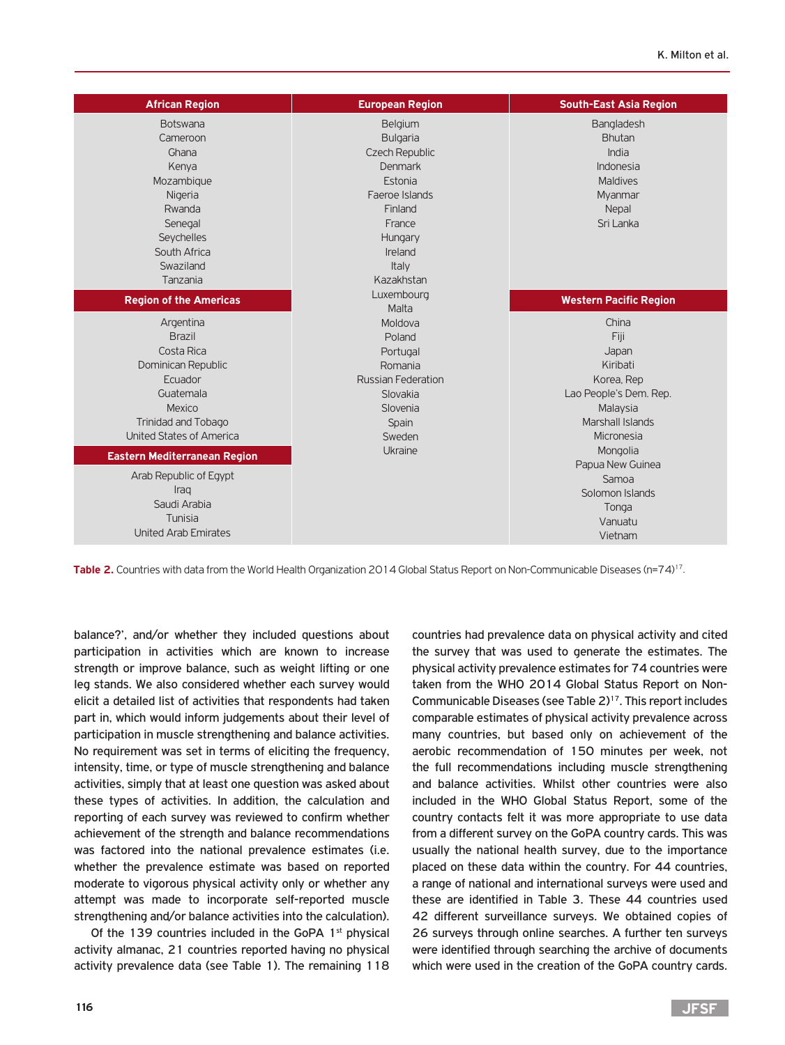| <b>African Region</b>               | <b>European Region</b>    | <b>South-East Asia Region</b> |
|-------------------------------------|---------------------------|-------------------------------|
| <b>Botswana</b>                     | Belgium                   | <b>Bangladesh</b>             |
| Cameroon                            | <b>Bulgaria</b>           | <b>Bhutan</b>                 |
| Ghana                               | Czech Republic            | India                         |
| Kenya                               | Denmark                   | Indonesia                     |
| Mozambique                          | Estonia                   | <b>Maldives</b>               |
| Nigeria                             | Faeroe Islands            | Myanmar                       |
| Rwanda                              | Finland                   | Nepal                         |
| Senegal                             | France                    | Sri Lanka                     |
| Seychelles                          | Hungary                   |                               |
| South Africa                        | Ireland                   |                               |
| Swaziland                           | Italy                     |                               |
| Tanzania                            | Kazakhstan                |                               |
| <b>Region of the Americas</b>       | Luxembourg                | <b>Western Pacific Region</b> |
|                                     | Malta                     |                               |
| Argentina                           | Moldova                   | China                         |
| <b>Brazil</b>                       | Poland                    | Fiji                          |
| Costa Rica                          | Portugal                  | Japan                         |
| Dominican Republic                  | Romania                   | Kiribati                      |
| Ecuador                             | <b>Russian Federation</b> | Korea, Rep                    |
| Guatemala                           | Slovakia                  | Lao People's Dem. Rep.        |
| Mexico                              | Slovenia                  | Malaysia                      |
| <b>Trinidad and Tobago</b>          | Spain                     | Marshall Islands              |
| United States of America            | Sweden                    | Micronesia                    |
| <b>Eastern Mediterranean Region</b> | Ukraine                   | Mongolia                      |
|                                     |                           | Papua New Guinea              |
| Arab Republic of Egypt<br>Iraq      |                           | Samoa                         |
| Saudi Arabia                        |                           | Solomon Islands               |
| Tunisia                             |                           | Tonga                         |
| <b>United Arab Emirates</b>         |                           | Vanuatu                       |
|                                     |                           | Vietnam                       |

Table 2. Countries with data from the World Health Organization 2014 Global Status Report on Non-Communicable Diseases (n=74)<sup>17</sup>.

balance?', and/or whether they included questions about participation in activities which are known to increase strength or improve balance, such as weight lifting or one leg stands. We also considered whether each survey would elicit a detailed list of activities that respondents had taken part in, which would inform judgements about their level of participation in muscle strengthening and balance activities. No requirement was set in terms of eliciting the frequency, intensity, time, or type of muscle strengthening and balance activities, simply that at least one question was asked about these types of activities. In addition, the calculation and reporting of each survey was reviewed to confirm whether achievement of the strength and balance recommendations was factored into the national prevalence estimates (i.e. whether the prevalence estimate was based on reported moderate to vigorous physical activity only or whether any attempt was made to incorporate self-reported muscle strengthening and/or balance activities into the calculation).

Of the 139 countries included in the GoPA  $1<sup>st</sup>$  physical activity almanac, 21 countries reported having no physical activity prevalence data (see Table 1). The remaining 118 countries had prevalence data on physical activity and cited the survey that was used to generate the estimates. The physical activity prevalence estimates for 74 countries were taken from the WHO 2014 Global Status Report on Non-Communicable Diseases (see Table 2)17. This report includes comparable estimates of physical activity prevalence across many countries, but based only on achievement of the aerobic recommendation of 150 minutes per week, not the full recommendations including muscle strengthening and balance activities. Whilst other countries were also included in the WHO Global Status Report, some of the country contacts felt it was more appropriate to use data from a different survey on the GoPA country cards. This was usually the national health survey, due to the importance placed on these data within the country. For 44 countries, a range of national and international surveys were used and these are identified in Table 3. These 44 countries used 42 different surveillance surveys. We obtained copies of 26 surveys through online searches. A further ten surveys were identified through searching the archive of documents which were used in the creation of the GoPA country cards.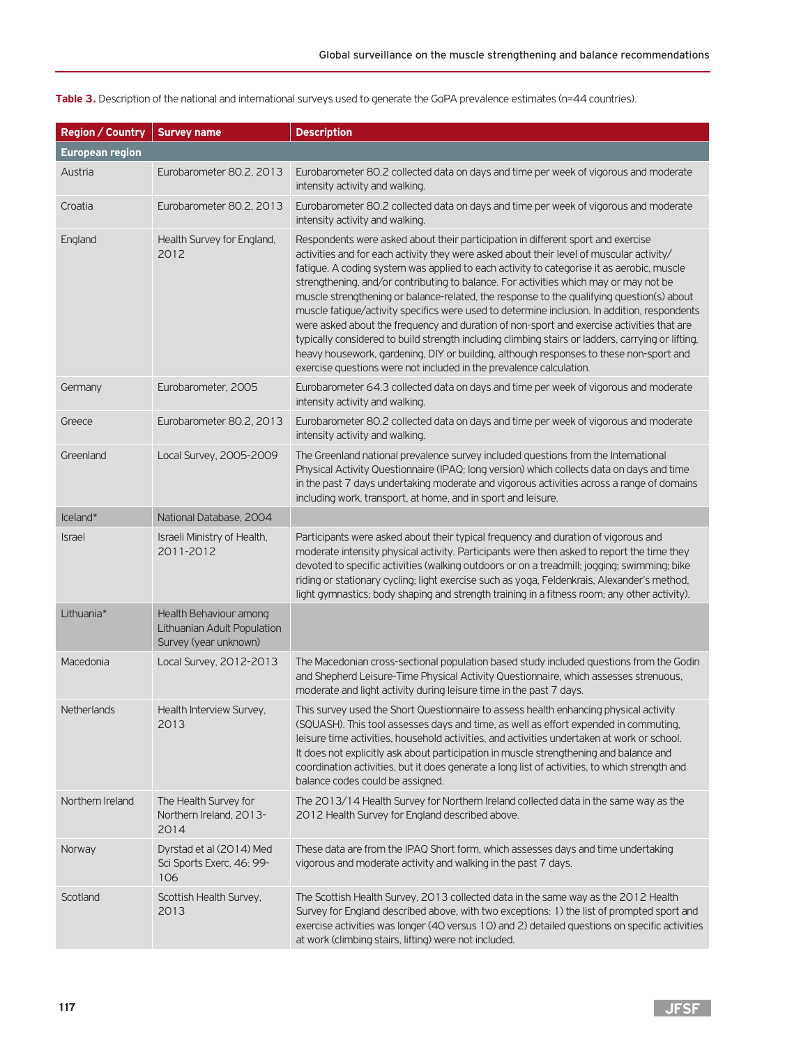| <b>Table 3.</b> Description of the national and international surveys used to generate the GoPA prevalence estimates (n=44 countries). |  |
|----------------------------------------------------------------------------------------------------------------------------------------|--|
|----------------------------------------------------------------------------------------------------------------------------------------|--|

| <b>Region / Country</b> | <b>Survey name</b>                                                             | <b>Description</b>                                                                                                                                                                                                                                                                                                                                                                                                                                                                                                                                                                                                                                                                                                                                                                                                                                                                                                                 |
|-------------------------|--------------------------------------------------------------------------------|------------------------------------------------------------------------------------------------------------------------------------------------------------------------------------------------------------------------------------------------------------------------------------------------------------------------------------------------------------------------------------------------------------------------------------------------------------------------------------------------------------------------------------------------------------------------------------------------------------------------------------------------------------------------------------------------------------------------------------------------------------------------------------------------------------------------------------------------------------------------------------------------------------------------------------|
| <b>European region</b>  |                                                                                |                                                                                                                                                                                                                                                                                                                                                                                                                                                                                                                                                                                                                                                                                                                                                                                                                                                                                                                                    |
| Austria                 | Eurobarometer 80.2, 2013                                                       | Eurobarometer 80.2 collected data on days and time per week of vigorous and moderate<br>intensity activity and walking.                                                                                                                                                                                                                                                                                                                                                                                                                                                                                                                                                                                                                                                                                                                                                                                                            |
| Croatia                 | Eurobarometer 80.2, 2013                                                       | Eurobarometer 80.2 collected data on days and time per week of vigorous and moderate<br>intensity activity and walking.                                                                                                                                                                                                                                                                                                                                                                                                                                                                                                                                                                                                                                                                                                                                                                                                            |
| England                 | Health Survey for England,<br>2012                                             | Respondents were asked about their participation in different sport and exercise<br>activities and for each activity they were asked about their level of muscular activity/<br>fatigue. A coding system was applied to each activity to categorise it as aerobic, muscle<br>strengthening, and/or contributing to balance. For activities which may or may not be<br>muscle strengthening or balance-related, the response to the qualifying question(s) about<br>muscle fatigue/activity specifics were used to determine inclusion. In addition, respondents<br>were asked about the frequency and duration of non-sport and exercise activities that are<br>typically considered to build strength including climbing stairs or ladders, carrying or lifting,<br>heavy housework, gardening, DIY or building, although responses to these non-sport and<br>exercise questions were not included in the prevalence calculation. |
| Germany                 | Eurobarometer, 2005                                                            | Eurobarometer 64.3 collected data on days and time per week of vigorous and moderate<br>intensity activity and walking.                                                                                                                                                                                                                                                                                                                                                                                                                                                                                                                                                                                                                                                                                                                                                                                                            |
| Greece                  | Eurobarometer 80.2, 2013                                                       | Eurobarometer 80.2 collected data on days and time per week of vigorous and moderate<br>intensity activity and walking.                                                                                                                                                                                                                                                                                                                                                                                                                                                                                                                                                                                                                                                                                                                                                                                                            |
| Greenland               | Local Survey, 2005-2009                                                        | The Greenland national prevalence survey included questions from the International<br>Physical Activity Questionnaire (IPAQ; long version) which collects data on days and time<br>in the past 7 days undertaking moderate and vigorous activities across a range of domains<br>including work, transport, at home, and in sport and leisure.                                                                                                                                                                                                                                                                                                                                                                                                                                                                                                                                                                                      |
| Iceland*                | National Database, 2004                                                        |                                                                                                                                                                                                                                                                                                                                                                                                                                                                                                                                                                                                                                                                                                                                                                                                                                                                                                                                    |
| <b>Israel</b>           | Israeli Ministry of Health,<br>2011-2012                                       | Participants were asked about their typical frequency and duration of vigorous and<br>moderate intensity physical activity. Participants were then asked to report the time they<br>devoted to specific activities (walking outdoors or on a treadmill; jogging; swimming; bike<br>riding or stationary cycling; light exercise such as yoga, Feldenkrais, Alexander's method,<br>light gymnastics; body shaping and strength training in a fitness room; any other activity).                                                                                                                                                                                                                                                                                                                                                                                                                                                     |
| Lithuania*              | Health Behaviour among<br>Lithuanian Adult Population<br>Survey (year unknown) |                                                                                                                                                                                                                                                                                                                                                                                                                                                                                                                                                                                                                                                                                                                                                                                                                                                                                                                                    |
| Macedonia               | Local Survey, 2012-2013                                                        | The Macedonian cross-sectional population based study included questions from the Godin<br>and Shepherd Leisure-Time Physical Activity Questionnaire, which assesses strenuous,<br>moderate and light activity during leisure time in the past 7 days.                                                                                                                                                                                                                                                                                                                                                                                                                                                                                                                                                                                                                                                                             |
| Netherlands             | Health Interview Survey,<br>2013                                               | This survey used the Short Questionnaire to assess health enhancing physical activity<br>(SQUASH). This tool assesses days and time, as well as effort expended in commuting,<br>leisure time activities, household activities, and activities undertaken at work or school.<br>It does not explicitly ask about participation in muscle strengthening and balance and<br>coordination activities, but it does generate a long list of activities, to which strength and<br>balance codes could be assigned.                                                                                                                                                                                                                                                                                                                                                                                                                       |
| Northern Ireland        | The Health Survey for<br>Northern Ireland, 2013-<br>2014                       | The 2013/14 Health Survey for Northern Ireland collected data in the same way as the<br>2012 Health Survey for England described above.                                                                                                                                                                                                                                                                                                                                                                                                                                                                                                                                                                                                                                                                                                                                                                                            |
| Norway                  | Dyrstad et al (2014) Med<br>Sci Sports Exerc, 46: 99-<br>106                   | These data are from the IPAQ Short form, which assesses days and time undertaking<br>vigorous and moderate activity and walking in the past 7 days.                                                                                                                                                                                                                                                                                                                                                                                                                                                                                                                                                                                                                                                                                                                                                                                |
| Scotland                | Scottish Health Survey,<br>2013                                                | The Scottish Health Survey, 2013 collected data in the same way as the 2012 Health<br>Survey for England described above, with two exceptions: 1) the list of prompted sport and<br>exercise activities was longer (40 versus 10) and 2) detailed questions on specific activities<br>at work (climbing stairs, lifting) were not included.                                                                                                                                                                                                                                                                                                                                                                                                                                                                                                                                                                                        |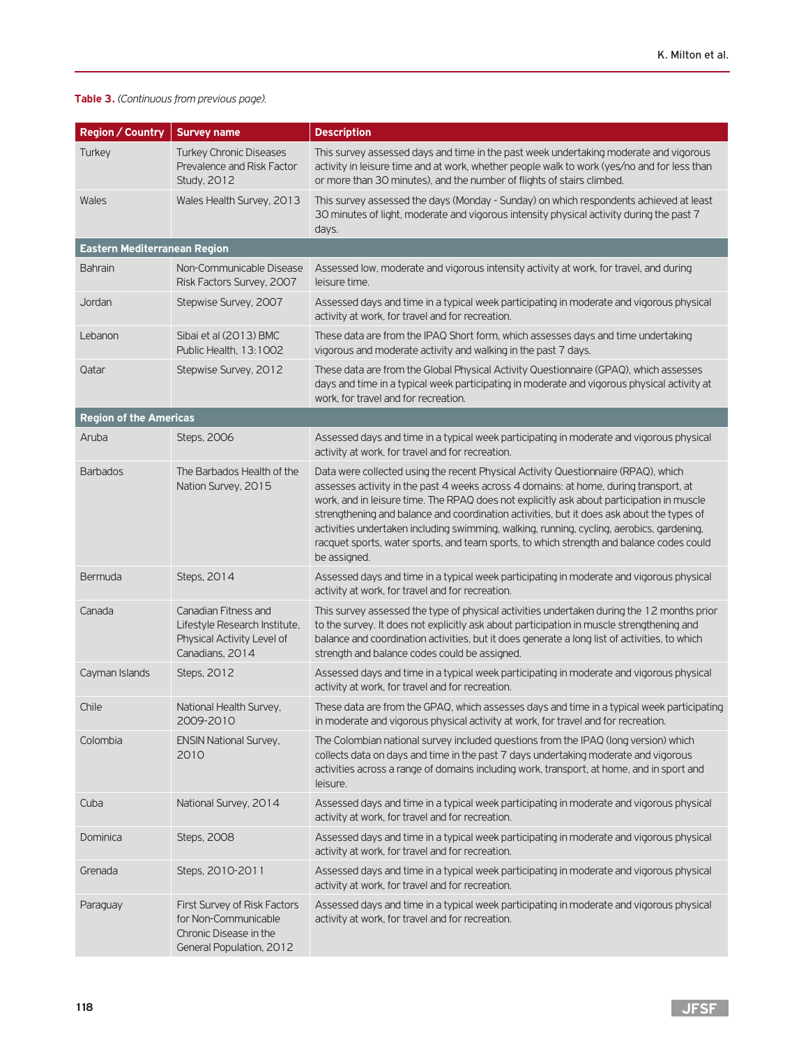## **Table 3.** *(Continuous from previous page).*

| <b>Region / Country</b>       | <b>Survey name</b>                                                                                         | <b>Description</b>                                                                                                                                                                                                                                                                                                                                                                                                                                                                                                                                                             |
|-------------------------------|------------------------------------------------------------------------------------------------------------|--------------------------------------------------------------------------------------------------------------------------------------------------------------------------------------------------------------------------------------------------------------------------------------------------------------------------------------------------------------------------------------------------------------------------------------------------------------------------------------------------------------------------------------------------------------------------------|
| Turkey                        | <b>Turkey Chronic Diseases</b><br>Prevalence and Risk Factor<br>Study, 2012                                | This survey assessed days and time in the past week undertaking moderate and vigorous<br>activity in leisure time and at work, whether people walk to work (yes/no and for less than<br>or more than 30 minutes), and the number of flights of stairs climbed.                                                                                                                                                                                                                                                                                                                 |
| <b>Wales</b>                  | Wales Health Survey, 2013                                                                                  | This survey assessed the days (Monday - Sunday) on which respondents achieved at least<br>30 minutes of light, moderate and vigorous intensity physical activity during the past 7<br>days.                                                                                                                                                                                                                                                                                                                                                                                    |
| Eastern Mediterranean Region  |                                                                                                            |                                                                                                                                                                                                                                                                                                                                                                                                                                                                                                                                                                                |
| <b>Bahrain</b>                | Non-Communicable Disease<br>Risk Factors Survey, 2007                                                      | Assessed low, moderate and vigorous intensity activity at work, for travel, and during<br>leisure time.                                                                                                                                                                                                                                                                                                                                                                                                                                                                        |
| Jordan                        | Stepwise Survey, 2007                                                                                      | Assessed days and time in a typical week participating in moderate and vigorous physical<br>activity at work, for travel and for recreation.                                                                                                                                                                                                                                                                                                                                                                                                                                   |
| Lebanon                       | Sibai et al (2013) BMC<br>Public Health, 13:1002                                                           | These data are from the IPAQ Short form, which assesses days and time undertaking<br>vigorous and moderate activity and walking in the past 7 days.                                                                                                                                                                                                                                                                                                                                                                                                                            |
| Qatar                         | Stepwise Survey, 2012                                                                                      | These data are from the Global Physical Activity Questionnaire (GPAQ), which assesses<br>days and time in a typical week participating in moderate and vigorous physical activity at<br>work, for travel and for recreation.                                                                                                                                                                                                                                                                                                                                                   |
| <b>Region of the Americas</b> |                                                                                                            |                                                                                                                                                                                                                                                                                                                                                                                                                                                                                                                                                                                |
| Aruba                         | Steps, 2006                                                                                                | Assessed days and time in a typical week participating in moderate and vigorous physical<br>activity at work, for travel and for recreation.                                                                                                                                                                                                                                                                                                                                                                                                                                   |
| <b>Barbados</b>               | The Barbados Health of the<br>Nation Survey, 2015                                                          | Data were collected using the recent Physical Activity Questionnaire (RPAQ), which<br>assesses activity in the past 4 weeks across 4 domains: at home, during transport, at<br>work, and in leisure time. The RPAQ does not explicitly ask about participation in muscle<br>strengthening and balance and coordination activities, but it does ask about the types of<br>activities undertaken including swimming, walking, running, cycling, aerobics, gardening,<br>racquet sports, water sports, and team sports, to which strength and balance codes could<br>be assigned. |
| <b>Bermuda</b>                | Steps, 2014                                                                                                | Assessed days and time in a typical week participating in moderate and vigorous physical<br>activity at work, for travel and for recreation.                                                                                                                                                                                                                                                                                                                                                                                                                                   |
| Canada                        | Canadian Fitness and<br>Lifestyle Research Institute,<br>Physical Activity Level of<br>Canadians, 2014     | This survey assessed the type of physical activities undertaken during the 12 months prior<br>to the survey. It does not explicitly ask about participation in muscle strengthening and<br>balance and coordination activities, but it does generate a long list of activities, to which<br>strength and balance codes could be assigned.                                                                                                                                                                                                                                      |
| Cayman Islands                | Steps, 2012                                                                                                | Assessed days and time in a typical week participating in moderate and vigorous physical<br>activity at work, for travel and for recreation.                                                                                                                                                                                                                                                                                                                                                                                                                                   |
| Chile                         | National Health Survey,<br>2009-2010                                                                       | These data are from the GPAQ, which assesses days and time in a typical week participating<br>in moderate and vigorous physical activity at work, for travel and for recreation.                                                                                                                                                                                                                                                                                                                                                                                               |
| Colombia                      | <b>ENSIN National Survey,</b><br>2010                                                                      | The Colombian national survey included questions from the IPAQ (long version) which<br>collects data on days and time in the past 7 days undertaking moderate and vigorous<br>activities across a range of domains including work, transport, at home, and in sport and<br>leisure.                                                                                                                                                                                                                                                                                            |
| Cuba                          | National Survey, 2014                                                                                      | Assessed days and time in a typical week participating in moderate and vigorous physical<br>activity at work, for travel and for recreation.                                                                                                                                                                                                                                                                                                                                                                                                                                   |
| Dominica                      | Steps, 2008                                                                                                | Assessed days and time in a typical week participating in moderate and vigorous physical<br>activity at work, for travel and for recreation.                                                                                                                                                                                                                                                                                                                                                                                                                                   |
| Grenada                       | Steps, 2010-2011                                                                                           | Assessed days and time in a typical week participating in moderate and vigorous physical<br>activity at work, for travel and for recreation.                                                                                                                                                                                                                                                                                                                                                                                                                                   |
| Paraguay                      | First Survey of Risk Factors<br>for Non-Communicable<br>Chronic Disease in the<br>General Population, 2012 | Assessed days and time in a typical week participating in moderate and vigorous physical<br>activity at work, for travel and for recreation.                                                                                                                                                                                                                                                                                                                                                                                                                                   |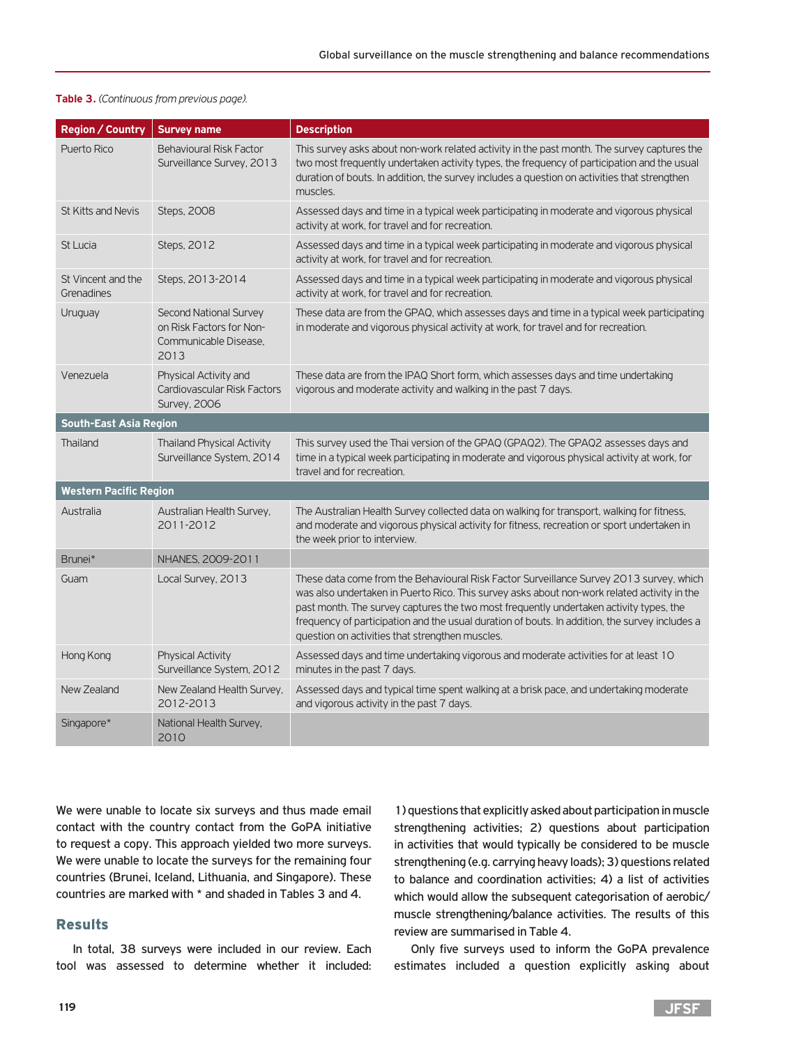#### **Table 3.** *(Continuous from previous page).*

| <b>Region / Country</b>          | <b>Survey name</b>                                                                  | <b>Description</b>                                                                                                                                                                                                                                                                                                                                                                                                                    |  |  |
|----------------------------------|-------------------------------------------------------------------------------------|---------------------------------------------------------------------------------------------------------------------------------------------------------------------------------------------------------------------------------------------------------------------------------------------------------------------------------------------------------------------------------------------------------------------------------------|--|--|
| Puerto Rico                      | <b>Behavioural Risk Factor</b><br>Surveillance Survey, 2013                         | This survey asks about non-work related activity in the past month. The survey captures the<br>two most frequently undertaken activity types, the frequency of participation and the usual<br>duration of bouts. In addition, the survey includes a question on activities that strengthen<br>muscles.                                                                                                                                |  |  |
| <b>St Kitts and Nevis</b>        | Steps, 2008                                                                         | Assessed days and time in a typical week participating in moderate and vigorous physical<br>activity at work, for travel and for recreation.                                                                                                                                                                                                                                                                                          |  |  |
| St Lucia                         | Steps, 2012                                                                         | Assessed days and time in a typical week participating in moderate and vigorous physical<br>activity at work, for travel and for recreation.                                                                                                                                                                                                                                                                                          |  |  |
| St Vincent and the<br>Grenadines | Steps, 2013-2014                                                                    | Assessed days and time in a typical week participating in moderate and vigorous physical<br>activity at work, for travel and for recreation.                                                                                                                                                                                                                                                                                          |  |  |
| Uruguay                          | Second National Survey<br>on Risk Factors for Non-<br>Communicable Disease.<br>2013 | These data are from the GPAQ, which assesses days and time in a typical week participating<br>in moderate and vigorous physical activity at work, for travel and for recreation.                                                                                                                                                                                                                                                      |  |  |
| Venezuela                        | Physical Activity and<br>Cardiovascular Risk Factors<br>Survey, 2006                | These data are from the IPAQ Short form, which assesses days and time undertaking<br>vigorous and moderate activity and walking in the past 7 days.                                                                                                                                                                                                                                                                                   |  |  |
| <b>South-East Asia Region</b>    |                                                                                     |                                                                                                                                                                                                                                                                                                                                                                                                                                       |  |  |
| Thailand                         | <b>Thailand Physical Activity</b><br>Surveillance System, 2014                      | This survey used the Thai version of the GPAQ (GPAQ2). The GPAQ2 assesses days and<br>time in a typical week participating in moderate and vigorous physical activity at work, for<br>travel and for recreation.                                                                                                                                                                                                                      |  |  |
| <b>Western Pacific Region</b>    |                                                                                     |                                                                                                                                                                                                                                                                                                                                                                                                                                       |  |  |
| Australia                        | Australian Health Survey,<br>2011-2012                                              | The Australian Health Survey collected data on walking for transport, walking for fitness,<br>and moderate and vigorous physical activity for fitness, recreation or sport undertaken in<br>the week prior to interview.                                                                                                                                                                                                              |  |  |
| Brunei*                          | NHANES, 2009-2011                                                                   |                                                                                                                                                                                                                                                                                                                                                                                                                                       |  |  |
| Guam                             | Local Survey, 2013                                                                  | These data come from the Behavioural Risk Factor Surveillance Survey 2013 survey, which<br>was also undertaken in Puerto Rico. This survey asks about non-work related activity in the<br>past month. The survey captures the two most frequently undertaken activity types, the<br>frequency of participation and the usual duration of bouts. In addition, the survey includes a<br>question on activities that strengthen muscles. |  |  |
| Hong Kong                        | <b>Physical Activity</b><br>Surveillance System, 2012                               | Assessed days and time undertaking vigorous and moderate activities for at least 10<br>minutes in the past 7 days.                                                                                                                                                                                                                                                                                                                    |  |  |
| <b>New Zealand</b>               | New Zealand Health Survey,<br>2012-2013                                             | Assessed days and typical time spent walking at a brisk pace, and undertaking moderate<br>and vigorous activity in the past 7 days.                                                                                                                                                                                                                                                                                                   |  |  |
| Singapore*                       | National Health Survey,<br>2010                                                     |                                                                                                                                                                                                                                                                                                                                                                                                                                       |  |  |

We were unable to locate six surveys and thus made email contact with the country contact from the GoPA initiative to request a copy. This approach yielded two more surveys. We were unable to locate the surveys for the remaining four countries (Brunei, Iceland, Lithuania, and Singapore). These countries are marked with \* and shaded in Tables 3 and 4.

## Results

In total, 38 surveys were included in our review. Each tool was assessed to determine whether it included:

1) questions that explicitly asked about participation in muscle strengthening activities; 2) questions about participation in activities that would typically be considered to be muscle strengthening (e.g. carrying heavy loads); 3) questions related to balance and coordination activities; 4) a list of activities which would allow the subsequent categorisation of aerobic/ muscle strengthening/balance activities. The results of this review are summarised in Table 4.

Only five surveys used to inform the GoPA prevalence estimates included a question explicitly asking about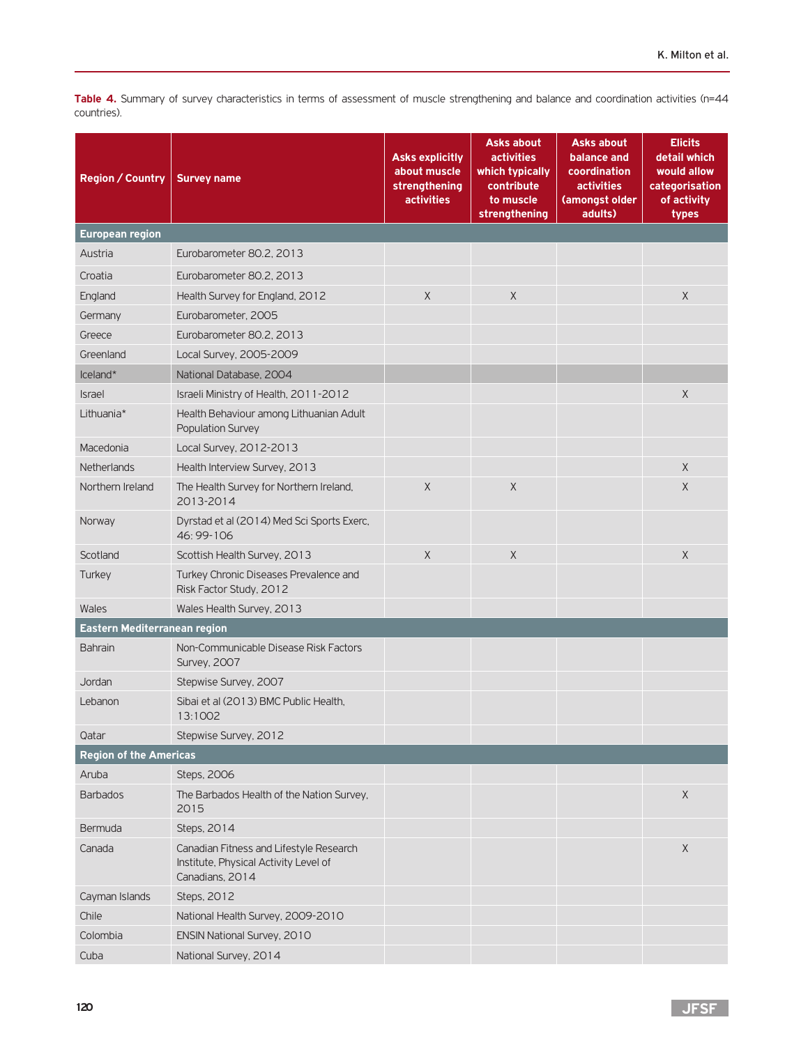Table 4. Summary of survey characteristics in terms of assessment of muscle strengthening and balance and coordination activities (n=44 countries).

| <b>Region / Country</b>       | <b>Survey name</b>                                                                                  | <b>Asks explicitly</b><br>about muscle<br>strengthening<br>activities | <b>Asks about</b><br><b>activities</b><br>which typically<br>contribute<br>to muscle<br>strengthening | <b>Asks about</b><br>balance and<br>coordination<br><b>activities</b><br>(amongst older<br>adults) | <b>Elicits</b><br>detail which<br>would allow<br>categorisation<br>of activity<br>types |
|-------------------------------|-----------------------------------------------------------------------------------------------------|-----------------------------------------------------------------------|-------------------------------------------------------------------------------------------------------|----------------------------------------------------------------------------------------------------|-----------------------------------------------------------------------------------------|
| <b>European region</b>        |                                                                                                     |                                                                       |                                                                                                       |                                                                                                    |                                                                                         |
| Austria                       | Eurobarometer 80.2, 2013                                                                            |                                                                       |                                                                                                       |                                                                                                    |                                                                                         |
| Croatia                       | Eurobarometer 80.2, 2013                                                                            |                                                                       |                                                                                                       |                                                                                                    |                                                                                         |
| England                       | Health Survey for England, 2012                                                                     | $\sf X$                                                               | X                                                                                                     |                                                                                                    | Χ                                                                                       |
| Germany                       | Eurobarometer, 2005                                                                                 |                                                                       |                                                                                                       |                                                                                                    |                                                                                         |
| Greece                        | Eurobarometer 80.2, 2013                                                                            |                                                                       |                                                                                                       |                                                                                                    |                                                                                         |
| Greenland                     | Local Survey, 2005-2009                                                                             |                                                                       |                                                                                                       |                                                                                                    |                                                                                         |
| Iceland*                      | National Database, 2004                                                                             |                                                                       |                                                                                                       |                                                                                                    |                                                                                         |
| <b>Israel</b>                 | Israeli Ministry of Health, 2011-2012                                                               |                                                                       |                                                                                                       |                                                                                                    | Χ                                                                                       |
| Lithuania*                    | Health Behaviour among Lithuanian Adult<br><b>Population Survey</b>                                 |                                                                       |                                                                                                       |                                                                                                    |                                                                                         |
| Macedonia                     | Local Survey, 2012-2013                                                                             |                                                                       |                                                                                                       |                                                                                                    |                                                                                         |
| <b>Netherlands</b>            | Health Interview Survey, 2013                                                                       |                                                                       |                                                                                                       |                                                                                                    | Χ                                                                                       |
| Northern Ireland              | The Health Survey for Northern Ireland,<br>2013-2014                                                | X                                                                     | X                                                                                                     |                                                                                                    | Χ                                                                                       |
| Norway                        | Dyrstad et al (2014) Med Sci Sports Exerc,<br>46: 99-106                                            |                                                                       |                                                                                                       |                                                                                                    |                                                                                         |
| Scotland                      | Scottish Health Survey, 2013                                                                        | X                                                                     | $\mathsf X$                                                                                           |                                                                                                    | Χ                                                                                       |
| Turkey                        | Turkey Chronic Diseases Prevalence and<br>Risk Factor Study, 2012                                   |                                                                       |                                                                                                       |                                                                                                    |                                                                                         |
| <b>Wales</b>                  | Wales Health Survey, 2013                                                                           |                                                                       |                                                                                                       |                                                                                                    |                                                                                         |
| Eastern Mediterranean region  |                                                                                                     |                                                                       |                                                                                                       |                                                                                                    |                                                                                         |
| <b>Bahrain</b>                | Non-Communicable Disease Risk Factors<br>Survey, 2007                                               |                                                                       |                                                                                                       |                                                                                                    |                                                                                         |
| Jordan                        | Stepwise Survey, 2007                                                                               |                                                                       |                                                                                                       |                                                                                                    |                                                                                         |
| Lebanon                       | Sibai et al (2013) BMC Public Health.<br>13:1002                                                    |                                                                       |                                                                                                       |                                                                                                    |                                                                                         |
| Qatar                         | Stepwise Survey, 2012                                                                               |                                                                       |                                                                                                       |                                                                                                    |                                                                                         |
| <b>Region of the Americas</b> |                                                                                                     |                                                                       |                                                                                                       |                                                                                                    |                                                                                         |
| Aruba                         | Steps, 2006                                                                                         |                                                                       |                                                                                                       |                                                                                                    |                                                                                         |
| <b>Barbados</b>               | The Barbados Health of the Nation Survey,<br>2015                                                   |                                                                       |                                                                                                       |                                                                                                    | X                                                                                       |
| Bermuda                       | Steps, 2014                                                                                         |                                                                       |                                                                                                       |                                                                                                    |                                                                                         |
| Canada                        | Canadian Fitness and Lifestyle Research<br>Institute, Physical Activity Level of<br>Canadians, 2014 |                                                                       |                                                                                                       |                                                                                                    | X                                                                                       |
| Cayman Islands                | Steps, 2012                                                                                         |                                                                       |                                                                                                       |                                                                                                    |                                                                                         |
| Chile                         | National Health Survey, 2009-2010                                                                   |                                                                       |                                                                                                       |                                                                                                    |                                                                                         |
| Colombia                      | ENSIN National Survey, 2010                                                                         |                                                                       |                                                                                                       |                                                                                                    |                                                                                         |
| Cuba                          | National Survey, 2014                                                                               |                                                                       |                                                                                                       |                                                                                                    |                                                                                         |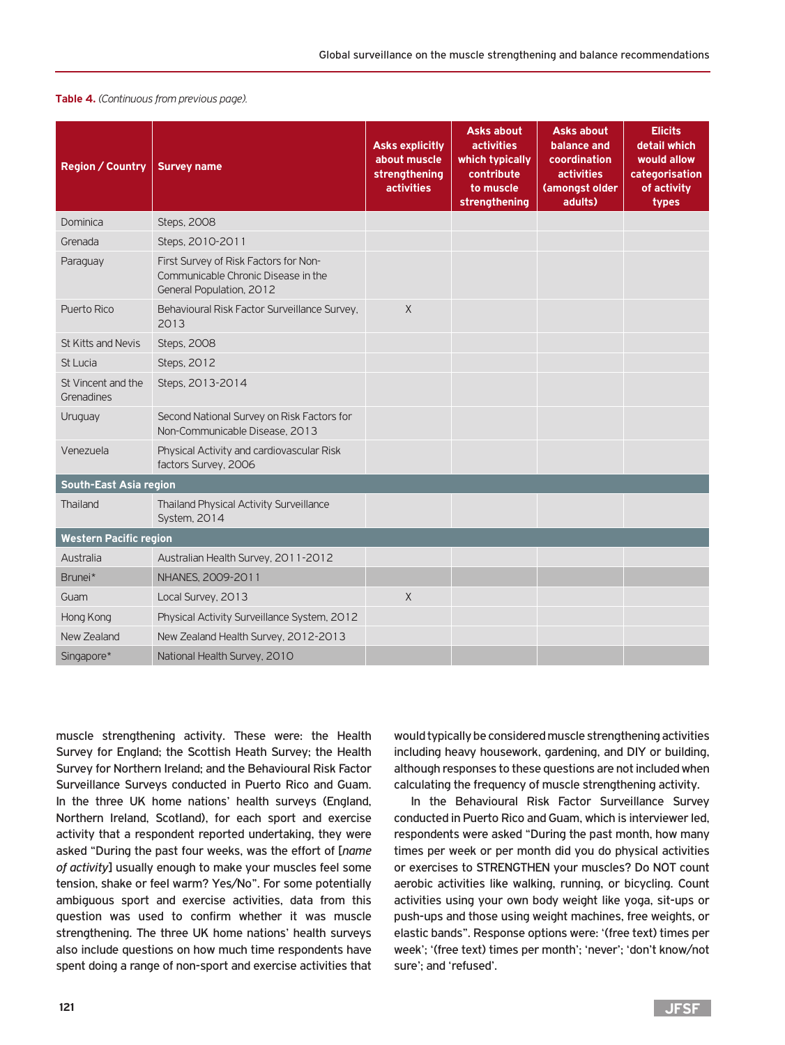#### **Table 4.** *(Continuous from previous page).*

| <b>Region / Country</b>          | <b>Survey name</b>                                                                                       | <b>Asks explicitly</b><br>about muscle<br>strengthening<br>activities | <b>Asks about</b><br><b>activities</b><br>which typically<br>contribute<br>to muscle<br>strengthening | <b>Asks about</b><br>balance and<br>coordination<br><b>activities</b><br>(amongst older<br>adults) | <b>Elicits</b><br>detail which<br>would allow<br>categorisation<br>of activity<br>types |
|----------------------------------|----------------------------------------------------------------------------------------------------------|-----------------------------------------------------------------------|-------------------------------------------------------------------------------------------------------|----------------------------------------------------------------------------------------------------|-----------------------------------------------------------------------------------------|
| Dominica                         | Steps, 2008                                                                                              |                                                                       |                                                                                                       |                                                                                                    |                                                                                         |
| Grenada                          | Steps, 2010-2011                                                                                         |                                                                       |                                                                                                       |                                                                                                    |                                                                                         |
| Paraguay                         | First Survey of Risk Factors for Non-<br>Communicable Chronic Disease in the<br>General Population, 2012 |                                                                       |                                                                                                       |                                                                                                    |                                                                                         |
| Puerto Rico                      | Behavioural Risk Factor Surveillance Survey,<br>2013                                                     | X                                                                     |                                                                                                       |                                                                                                    |                                                                                         |
| St Kitts and Nevis               | Steps, 2008                                                                                              |                                                                       |                                                                                                       |                                                                                                    |                                                                                         |
| St Lucia                         | Steps, 2012                                                                                              |                                                                       |                                                                                                       |                                                                                                    |                                                                                         |
| St Vincent and the<br>Grenadines | Steps, 2013-2014                                                                                         |                                                                       |                                                                                                       |                                                                                                    |                                                                                         |
| Uruguay                          | Second National Survey on Risk Factors for<br>Non-Communicable Disease, 2013                             |                                                                       |                                                                                                       |                                                                                                    |                                                                                         |
| Venezuela                        | Physical Activity and cardiovascular Risk<br>factors Survey, 2006                                        |                                                                       |                                                                                                       |                                                                                                    |                                                                                         |
| South-East Asia region           |                                                                                                          |                                                                       |                                                                                                       |                                                                                                    |                                                                                         |
| Thailand                         | Thailand Physical Activity Surveillance<br>System, 2014                                                  |                                                                       |                                                                                                       |                                                                                                    |                                                                                         |
| <b>Western Pacific region</b>    |                                                                                                          |                                                                       |                                                                                                       |                                                                                                    |                                                                                         |
| Australia                        | Australian Health Survey, 2011-2012                                                                      |                                                                       |                                                                                                       |                                                                                                    |                                                                                         |
| Brunei*                          | NHANES, 2009-2011                                                                                        |                                                                       |                                                                                                       |                                                                                                    |                                                                                         |
| Guam                             | Local Survey, 2013                                                                                       | X                                                                     |                                                                                                       |                                                                                                    |                                                                                         |
| Hong Kong                        | Physical Activity Surveillance System, 2012                                                              |                                                                       |                                                                                                       |                                                                                                    |                                                                                         |
| New Zealand                      | New Zealand Health Survey, 2012-2013                                                                     |                                                                       |                                                                                                       |                                                                                                    |                                                                                         |
| Singapore*                       | National Health Survey, 2010                                                                             |                                                                       |                                                                                                       |                                                                                                    |                                                                                         |

muscle strengthening activity. These were: the Health Survey for England; the Scottish Heath Survey; the Health Survey for Northern Ireland; and the Behavioural Risk Factor Surveillance Surveys conducted in Puerto Rico and Guam. In the three UK home nations' health surveys (England, Northern Ireland, Scotland), for each sport and exercise activity that a respondent reported undertaking, they were asked "During the past four weeks, was the effort of [*name of activity*] usually enough to make your muscles feel some tension, shake or feel warm? Yes/No". For some potentially ambiguous sport and exercise activities, data from this question was used to confirm whether it was muscle strengthening. The three UK home nations' health surveys also include questions on how much time respondents have spent doing a range of non-sport and exercise activities that

would typically be considered muscle strengthening activities including heavy housework, gardening, and DIY or building, although responses to these questions are not included when calculating the frequency of muscle strengthening activity.

In the Behavioural Risk Factor Surveillance Survey conducted in Puerto Rico and Guam, which is interviewer led, respondents were asked "During the past month, how many times per week or per month did you do physical activities or exercises to STRENGTHEN your muscles? Do NOT count aerobic activities like walking, running, or bicycling. Count activities using your own body weight like yoga, sit-ups or push-ups and those using weight machines, free weights, or elastic bands". Response options were: '(free text) times per week'; '(free text) times per month'; 'never'; 'don't know/not sure'; and 'refused'.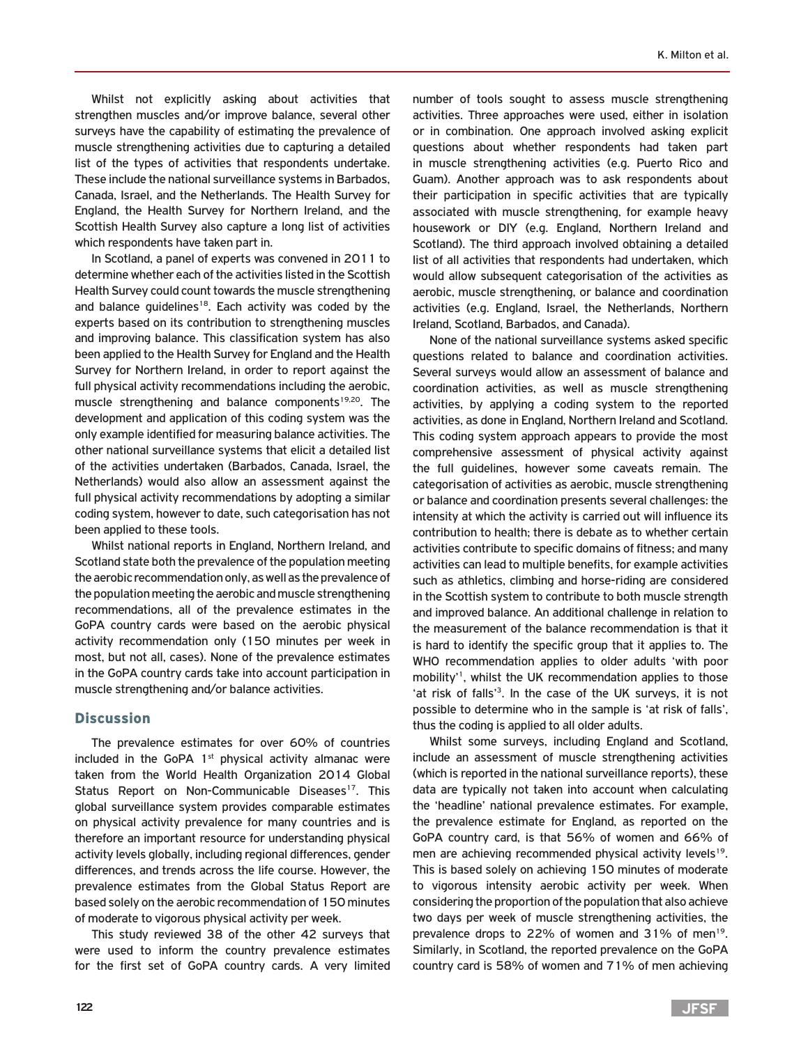Whilst not explicitly asking about activities that strengthen muscles and/or improve balance, several other surveys have the capability of estimating the prevalence of muscle strengthening activities due to capturing a detailed list of the types of activities that respondents undertake. These include the national surveillance systems in Barbados, Canada, Israel, and the Netherlands. The Health Survey for England, the Health Survey for Northern Ireland, and the Scottish Health Survey also capture a long list of activities which respondents have taken part in.

In Scotland, a panel of experts was convened in 2011 to determine whether each of the activities listed in the Scottish Health Survey could count towards the muscle strengthening and balance quidelines<sup>18</sup>. Each activity was coded by the experts based on its contribution to strengthening muscles and improving balance. This classification system has also been applied to the Health Survey for England and the Health Survey for Northern Ireland, in order to report against the full physical activity recommendations including the aerobic, muscle strengthening and balance components<sup>19,20</sup>. The development and application of this coding system was the only example identified for measuring balance activities. The other national surveillance systems that elicit a detailed list of the activities undertaken (Barbados, Canada, Israel, the Netherlands) would also allow an assessment against the full physical activity recommendations by adopting a similar coding system, however to date, such categorisation has not been applied to these tools.

Whilst national reports in England, Northern Ireland, and Scotland state both the prevalence of the population meeting the aerobic recommendation only, as well as the prevalence of the population meeting the aerobic and muscle strengthening recommendations, all of the prevalence estimates in the GoPA country cards were based on the aerobic physical activity recommendation only (150 minutes per week in most, but not all, cases). None of the prevalence estimates in the GoPA country cards take into account participation in muscle strengthening and/or balance activities.

## **Discussion**

The prevalence estimates for over 60% of countries included in the GoPA  $1<sup>st</sup>$  physical activity almanac were taken from the World Health Organization 2014 Global Status Report on Non-Communicable Diseases<sup>17</sup>. This global surveillance system provides comparable estimates on physical activity prevalence for many countries and is therefore an important resource for understanding physical activity levels globally, including regional differences, gender differences, and trends across the life course. However, the prevalence estimates from the Global Status Report are based solely on the aerobic recommendation of 150 minutes of moderate to vigorous physical activity per week.

This study reviewed 38 of the other 42 surveys that were used to inform the country prevalence estimates for the first set of GoPA country cards. A very limited

number of tools sought to assess muscle strengthening activities. Three approaches were used, either in isolation or in combination. One approach involved asking explicit questions about whether respondents had taken part in muscle strengthening activities (e.g. Puerto Rico and Guam). Another approach was to ask respondents about their participation in specific activities that are typically associated with muscle strengthening, for example heavy housework or DIY (e.g. England, Northern Ireland and Scotland). The third approach involved obtaining a detailed list of all activities that respondents had undertaken, which would allow subsequent categorisation of the activities as aerobic, muscle strengthening, or balance and coordination activities (e.g. England, Israel, the Netherlands, Northern Ireland, Scotland, Barbados, and Canada).

None of the national surveillance systems asked specific questions related to balance and coordination activities. Several surveys would allow an assessment of balance and coordination activities, as well as muscle strengthening activities, by applying a coding system to the reported activities, as done in England, Northern Ireland and Scotland. This coding system approach appears to provide the most comprehensive assessment of physical activity against the full guidelines, however some caveats remain. The categorisation of activities as aerobic, muscle strengthening or balance and coordination presents several challenges: the intensity at which the activity is carried out will influence its contribution to health; there is debate as to whether certain activities contribute to specific domains of fitness; and many activities can lead to multiple benefits, for example activities such as athletics, climbing and horse-riding are considered in the Scottish system to contribute to both muscle strength and improved balance. An additional challenge in relation to the measurement of the balance recommendation is that it is hard to identify the specific group that it applies to. The WHO recommendation applies to older adults 'with poor mobility'1, whilst the UK recommendation applies to those 'at risk of falls'3. In the case of the UK surveys, it is not possible to determine who in the sample is 'at risk of falls', thus the coding is applied to all older adults.

Whilst some surveys, including England and Scotland, include an assessment of muscle strengthening activities (which is reported in the national surveillance reports), these data are typically not taken into account when calculating the 'headline' national prevalence estimates. For example, the prevalence estimate for England, as reported on the GoPA country card, is that 56% of women and 66% of men are achieving recommended physical activity levels<sup>19</sup>. This is based solely on achieving 150 minutes of moderate to vigorous intensity aerobic activity per week. When considering the proportion of the population that also achieve two days per week of muscle strengthening activities, the prevalence drops to 22% of women and 31% of men<sup>19</sup>. Similarly, in Scotland, the reported prevalence on the GoPA country card is 58% of women and 71% of men achieving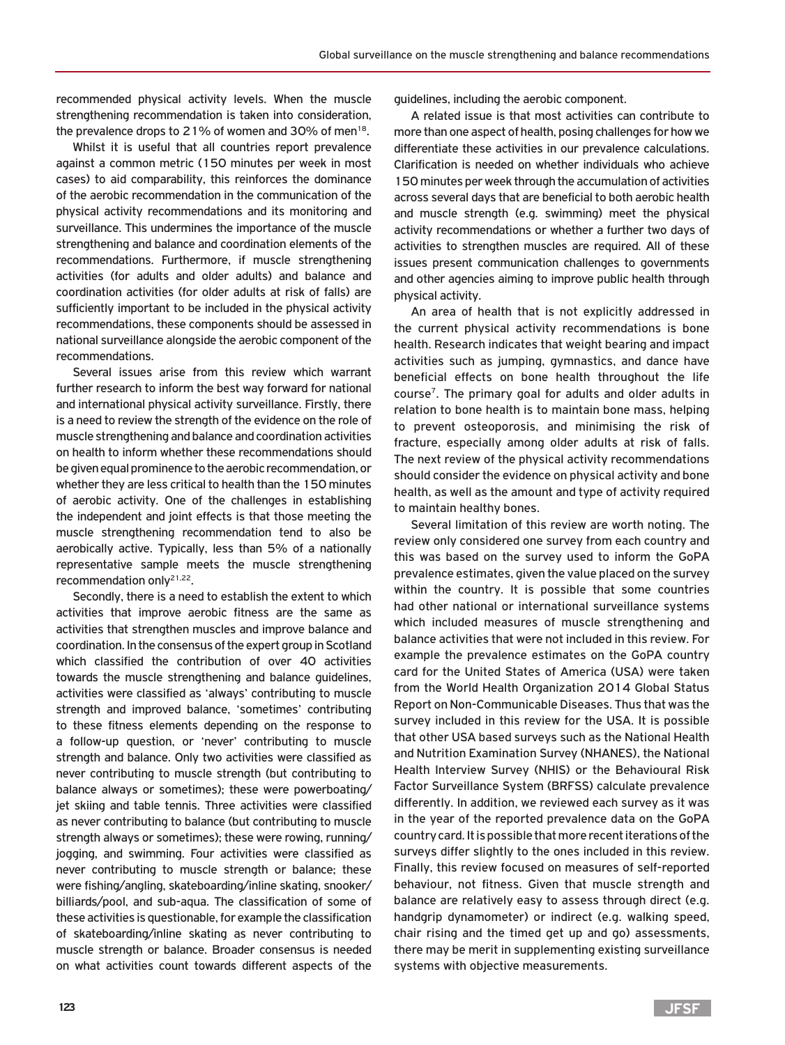recommended physical activity levels. When the muscle strengthening recommendation is taken into consideration, the prevalence drops to 21% of women and 30% of men<sup>18</sup>.

Whilst it is useful that all countries report prevalence against a common metric (150 minutes per week in most cases) to aid comparability, this reinforces the dominance of the aerobic recommendation in the communication of the physical activity recommendations and its monitoring and surveillance. This undermines the importance of the muscle strengthening and balance and coordination elements of the recommendations. Furthermore, if muscle strengthening activities (for adults and older adults) and balance and coordination activities (for older adults at risk of falls) are sufficiently important to be included in the physical activity recommendations, these components should be assessed in national surveillance alongside the aerobic component of the recommendations.

Several issues arise from this review which warrant further research to inform the best way forward for national and international physical activity surveillance. Firstly, there is a need to review the strength of the evidence on the role of muscle strengthening and balance and coordination activities on health to inform whether these recommendations should be given equal prominence to the aerobic recommendation, or whether they are less critical to health than the 150 minutes of aerobic activity. One of the challenges in establishing the independent and joint effects is that those meeting the muscle strengthening recommendation tend to also be aerobically active. Typically, less than 5% of a nationally representative sample meets the muscle strengthening recommendation only21,22.

Secondly, there is a need to establish the extent to which activities that improve aerobic fitness are the same as activities that strengthen muscles and improve balance and coordination. In the consensus of the expert group in Scotland which classified the contribution of over 40 activities towards the muscle strengthening and balance guidelines, activities were classified as 'always' contributing to muscle strength and improved balance, 'sometimes' contributing to these fitness elements depending on the response to a follow-up question, or 'never' contributing to muscle strength and balance. Only two activities were classified as never contributing to muscle strength (but contributing to balance always or sometimes); these were powerboating/ jet skiing and table tennis. Three activities were classified as never contributing to balance (but contributing to muscle strength always or sometimes); these were rowing, running/ jogging, and swimming. Four activities were classified as never contributing to muscle strength or balance; these were fishing/angling, skateboarding/inline skating, snooker/ billiards/pool, and sub-aqua. The classification of some of these activities is questionable, for example the classification of skateboarding/inline skating as never contributing to muscle strength or balance. Broader consensus is needed on what activities count towards different aspects of the

guidelines, including the aerobic component.

A related issue is that most activities can contribute to more than one aspect of health, posing challenges for how we differentiate these activities in our prevalence calculations. Clarification is needed on whether individuals who achieve 150 minutes per week through the accumulation of activities across several days that are beneficial to both aerobic health and muscle strength (e.g. swimming) meet the physical activity recommendations or whether a further two days of activities to strengthen muscles are required. All of these issues present communication challenges to governments and other agencies aiming to improve public health through physical activity.

An area of health that is not explicitly addressed in the current physical activity recommendations is bone health. Research indicates that weight bearing and impact activities such as jumping, gymnastics, and dance have beneficial effects on bone health throughout the life course7. The primary goal for adults and older adults in relation to bone health is to maintain bone mass, helping to prevent osteoporosis, and minimising the risk of fracture, especially among older adults at risk of falls. The next review of the physical activity recommendations should consider the evidence on physical activity and bone health, as well as the amount and type of activity required to maintain healthy bones.

Several limitation of this review are worth noting. The review only considered one survey from each country and this was based on the survey used to inform the GoPA prevalence estimates, given the value placed on the survey within the country. It is possible that some countries had other national or international surveillance systems which included measures of muscle strengthening and balance activities that were not included in this review. For example the prevalence estimates on the GoPA country card for the United States of America (USA) were taken from the World Health Organization 2014 Global Status Report on Non-Communicable Diseases. Thus that was the survey included in this review for the USA. It is possible that other USA based surveys such as the National Health and Nutrition Examination Survey (NHANES), the National Health Interview Survey (NHIS) or the Behavioural Risk Factor Surveillance System (BRFSS) calculate prevalence differently. In addition, we reviewed each survey as it was in the year of the reported prevalence data on the GoPA country card. It is possible that more recent iterations of the surveys differ slightly to the ones included in this review. Finally, this review focused on measures of self-reported behaviour, not fitness. Given that muscle strength and balance are relatively easy to assess through direct (e.g. handgrip dynamometer) or indirect (e.g. walking speed, chair rising and the timed get up and go) assessments, there may be merit in supplementing existing surveillance systems with objective measurements.